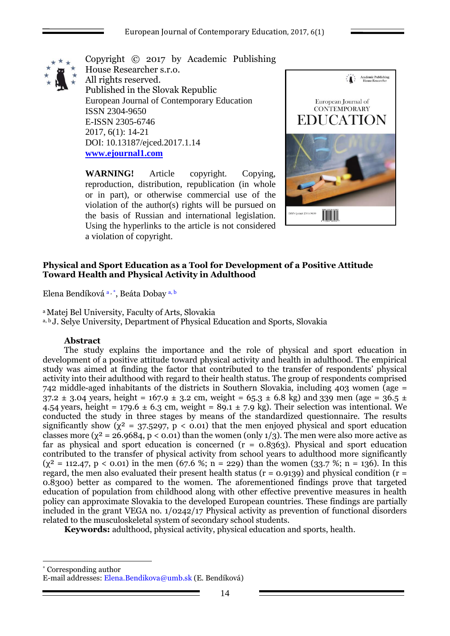

Copyright © 2017 by Academic Publishing House Researcher s.r.o. All rights reserved. Published in the Slovak Republic European Journal of Contemporary Education ISSN 2304-9650 E-ISSN 2305-6746 2017, 6(1): 14-21 DOI: 10.13187/ejced.2017.1.14 **[www.ejournal1.com](http://www.ejournal1.com/)**

**WARNING!** Article copyright. Copying, reproduction, distribution, republication (in whole or in part), or otherwise commercial use of the violation of the author(s) rights will be pursued on the basis of Russian and international legislation. Using the hyperlinks to the article is not considered a violation of copyright.



## **Physical and Sport Education as a Tool for Development of a Positive Attitude Toward Health and Physical Activity in Adulthood**

Elena Bendíková a, \*, Beáta Dobay a, b

<sup>a</sup>Matej Bel University, Faculty of Arts, Slovakia a, <sup>b</sup> J. Selye University, Department of Physical Education and Sports, Slovakia

### **Abstract**

1

The study explains the importance and the role of physical and sport education in development of a positive attitude toward physical activity and health in adulthood. The empirical study was aimed at finding the factor that contributed to the transfer of respondents' physical activity into their adulthood with regard to their health status. The group of respondents comprised 742 middle-aged inhabitants of the districts in Southern Slovakia, including 403 women (age = 37.2  $\pm$  3.04 years, height = 167.9  $\pm$  3.2 cm, weight = 65.3  $\pm$  6.8 kg) and 339 men (age = 36.5  $\pm$ 4.54 years, height =  $179.6 \pm 6.3$  cm, weight =  $89.1 \pm 7.9$  kg). Their selection was intentional. We conducted the study in three stages by means of the standardized questionnaire. The results significantly show ( $\chi^2 = 37.5297$ ,  $p < 0.01$ ) that the men enjoyed physical and sport education classes more ( $\chi^2 = 26.9684$ ,  $p < 0.01$ ) than the women (only 1/3). The men were also more active as far as physical and sport education is concerned  $(r = 0.8363)$ . Physical and sport education contributed to the transfer of physical activity from school years to adulthood more significantly  $(y^2 = 112.47, p < 0.01)$  in the men (67.6 %; n = 229) than the women (33.7 %; n = 136). In this regard, the men also evaluated their present health status ( $r = 0.9139$ ) and physical condition ( $r =$ 0.8300) better as compared to the women. The aforementioned findings prove that targeted education of population from childhood along with other effective preventive measures in health policy can approximate Slovakia to the developed European countries. These findings are partially included in the grant VEGA no. 1/0242/17 Physical activity as prevention of functional disorders related to the musculoskeletal system of secondary school students.

**Keywords:** adulthood, physical activity, physical education and sports, health.

\* Corresponding author E-mail addresses: Elena.Bendikova@umb.sk (E. Bendíková)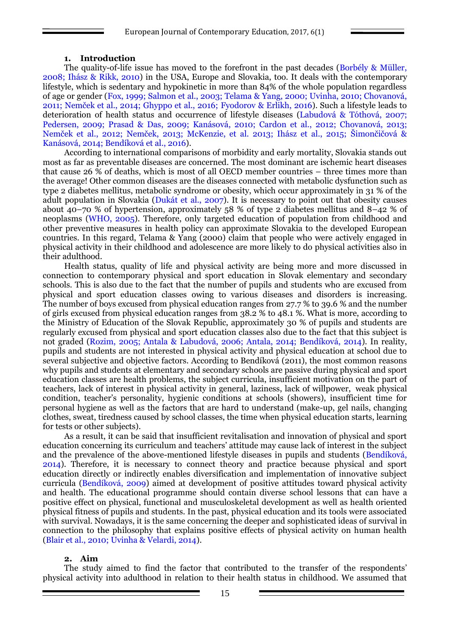#### **1. Introduction**

The quality-of-life issue has moved to the forefront in the past decades (Borbély & Müller, 2008; Ihász & Rikk, 2010) in the USA, Europe and Slovakia, too. It deals with the contemporary lifestyle, which is sedentary and hypokinetic in more than 84% of the whole population regardless of age or gender (Fox, 1999; Salmon et al., 2003; Telama & Yang, 2000; Uvinha, 2010; Chovanová, 2011; Nemček et al., 2014; Ghyppo et al., 2016; Fyodorov & Erlikh, 2016). Such a lifestyle leads to deterioration of health status and occurrence of lifestyle diseases (Labudová & Tóthová, 2007; Pedersen, 2009; Prasad & Das, 2009; Kanásová, 2010; Cardon et al., 2012; Chovanová, 2013; Nemček et al., 2012; Nemček, 2013; McKenzie, et al. 2013; Ihász et al., 2015; Šimončičová & Kanásová, 2014; Bendíková et al., 2016).

According to international comparisons of morbidity and early mortality, Slovakia stands out most as far as preventable diseases are concerned. The most dominant are ischemic heart diseases that cause 26 % of deaths, which is most of all OECD member countries – three times more than the average! Other common diseases are the diseases connected with metabolic dysfunction such as type 2 diabetes mellitus, metabolic syndrome or obesity, which occur approximately in 31 % of the adult population in Slovakia (Dukát et al., 2007). It is necessary to point out that obesity causes about 40–70 % of hypertension, approximately 58 % of type 2 diabetes mellitus and 8–42 % of neoplasms (WHO, 2005). Therefore, only targeted education of population from childhood and other preventive measures in health policy can approximate Slovakia to the developed European countries. In this regard, Telama & Yang (2000) claim that people who were actively engaged in physical activity in their childhood and adolescence are more likely to do physical activities also in their adulthood.

Health status, quality of life and physical activity are being more and more discussed in connection to contemporary physical and sport education in Slovak elementary and secondary schools. This is also due to the fact that the number of pupils and students who are excused from physical and sport education classes owing to various diseases and disorders is increasing. The number of boys excused from physical education ranges from 27.7 % to 39.6 % and the number of girls excused from physical education ranges from 38.2 % to 48.1 %. What is more, according to the Ministry of Education of the Slovak Republic, approximately 30 % of pupils and students are regularly excused from physical and sport education classes also due to the fact that this subject is not graded (Rozim, 2005; Antala & Labudová, 2006; Antala, 2014; Bendíková, 2014). In reality, pupils and students are not interested in physical activity and physical education at school due to several subjective and objective factors. According to Bendíková (2011), the most common reasons why pupils and students at elementary and secondary schools are passive during physical and sport education classes are health problems, the subject curricula, insufficient motivation on the part of teachers, lack of interest in physical activity in general, laziness, lack of willpower, weak physical condition, teacher's personality, hygienic conditions at schools (showers), insufficient time for personal hygiene as well as the factors that are hard to understand (make-up, gel nails, changing clothes, sweat, tiredness caused by school classes, the time when physical education starts, learning for tests or other subjects).

As a result, it can be said that insufficient revitalisation and innovation of physical and sport education concerning its curriculum and teachers' attitude may cause lack of interest in the subject and the prevalence of the above-mentioned lifestyle diseases in pupils and students (Bendíková, 2014). Therefore, it is necessary to connect theory and practice because physical and sport education directly or indirectly enables diversification and implementation of innovative subject curricula (Bendíková, 2009) aimed at development of positive attitudes toward physical activity and health. The educational programme should contain diverse school lessons that can have a positive effect on physical, functional and musculoskeletal development as well as health oriented physical fitness of pupils and students. In the past, physical education and its tools were associated with survival. Nowadays, it is the same concerning the deeper and sophisticated ideas of survival in connection to the philosophy that explains positive effects of physical activity on human health (Blair et al., 2010; Uvinha & Velardi, 2014).

### **2. Aim**

The study aimed to find the factor that contributed to the transfer of the respondents' physical activity into adulthood in relation to their health status in childhood. We assumed that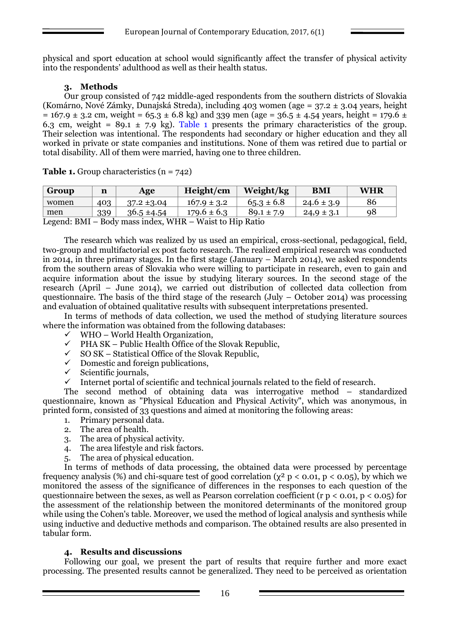physical and sport education at school would significantly affect the transfer of physical activity into the respondents' adulthood as well as their health status.

# **3. Methods**

Our group consisted of 742 middle-aged respondents from the southern districts of Slovakia (Komárno, Nové Zámky, Dunajská Streda), including 403 women (age = 37.2 ± 3.04 years, height  $= 167.9 \pm 3.2$  cm, weight = 65.3  $\pm$  6.8 kg) and 339 men (age = 36.5  $\pm$  4.54 years, height = 179.6  $\pm$ 6.3 cm, weight =  $89.1 \pm 7.9$  kg). Table 1 presents the primary characteristics of the group. Their selection was intentional. The respondents had secondary or higher education and they all worked in private or state companies and institutions. None of them was retired due to partial or total disability. All of them were married, having one to three children.

| Group | n   | Age             | Height/cm       | Weight/kg      | <b>BMI</b>     | <b>WHR</b> |
|-------|-----|-----------------|-----------------|----------------|----------------|------------|
| women | 403 | $37.2 \pm 3.04$ | $167.9 \pm 3.2$ | $65.3 \pm 6.8$ | $24.6 \pm 3.9$ | 86         |
| men   | 339 | $36.5 \pm 4.54$ | $179.6 \pm 6.3$ | $89.1 \pm 7.9$ | $24.9 \pm 3.1$ | 98         |

**Table 1.** Group characteristics (n = 742)

Legend: BMI – Body mass index, WHR – Waist to Hip Ratio

The research which was realized by us used an empirical, cross-sectional, pedagogical, field, two-group and multifactorial ex post facto research. The realized empirical research was conducted in 2014, in three primary stages. In the first stage (January – March 2014), we asked respondents from the southern areas of Slovakia who were willing to participate in research, even to gain and acquire information about the issue by studying literary sources. In the second stage of the research (April – June 2014), we carried out distribution of collected data collection from questionnaire. The basis of the third stage of the research (July – October 2014) was processing and evaluation of obtained qualitative results with subsequent interpretations presented.

In terms of methods of data collection, we used the method of studying literature sources where the information was obtained from the following databases:

- $\checkmark$  WHO World Health Organization,<br> $\checkmark$  PHA SK Public Health Office of the
- PHA SK Public Health Office of the Slovak Republic,
- $\checkmark$  SO SK Statistical Office of the Slovak Republic.
- $\checkmark$  Domestic and foreign publications,<br> $\checkmark$  Scientific iournals.
- Scientific journals,
- $\checkmark$  Internet portal of scientific and technical journals related to the field of research.

The second method of obtaining data was interrogative method – standardized questionnaire, known as "Physical Education and Physical Activity", which was anonymous, in printed form, consisted of 33 questions and aimed at monitoring the following areas:

- 1. Primary personal data.
- 2. The area of health.
- 3. The area of physical activity.
- 4. The area lifestyle and risk factors.
- 5. The area of physical education.

In terms of methods of data processing, the obtained data were processed by percentage frequency analysis (%) and chi-square test of good correlation ( $\chi^2$  p < 0.01, p < 0.05), by which we monitored the assess of the significance of differences in the responses to each question of the questionnaire between the sexes, as well as Pearson correlation coefficient (r  $p < 0.01$ ,  $p < 0.05$ ) for the assessment of the relationship between the monitored determinants of the monitored group while using the Cohen's table. Moreover, we used the method of logical analysis and synthesis while using inductive and deductive methods and comparison. The obtained results are also presented in tabular form.

### **4. Results and discussions**

Following our goal, we present the part of results that require further and more exact processing. The presented results cannot be generalized. They need to be perceived as orientation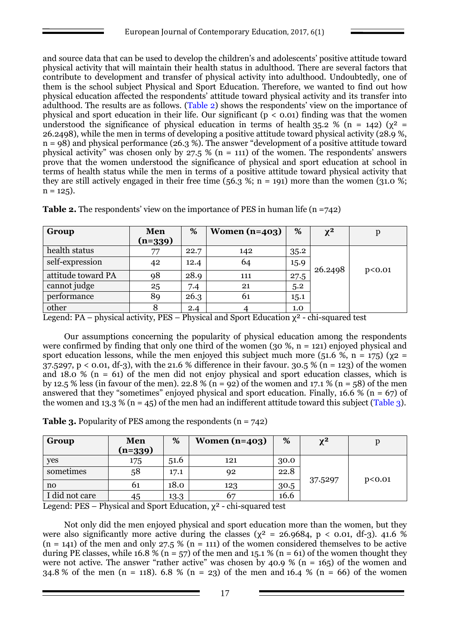and source data that can be used to develop the children's and adolescents' positive attitude toward physical activity that will maintain their health status in adulthood. There are several factors that contribute to development and transfer of physical activity into adulthood. Undoubtedly, one of them is the school subject Physical and Sport Education. Therefore, we wanted to find out how physical education affected the respondents' attitude toward physical activity and its transfer into adulthood. The results are as follows. (Table 2) shows the respondents' view on the importance of physical and sport education in their life. Our significant ( $p < 0.01$ ) finding was that the women understood the significance of physical education in terms of health 35.2 % (n = 142) ( $\chi^2$  = 26.2498), while the men in terms of developing a positive attitude toward physical activity (28.9 %, n = 98) and physical performance (26.3 %). The answer "development of a positive attitude toward physical activity" was chosen only by 27.5 % (n = 111) of the women. The respondents' answers prove that the women understood the significance of physical and sport education at school in terms of health status while the men in terms of a positive attitude toward physical activity that they are still actively engaged in their free time (56.3 %; n = 191) more than the women (31.0 %;  $n = 125$ ).

| Group              | Men       | %    | Women $(n=403)$ | %    | $\chi^2$ |                   |
|--------------------|-----------|------|-----------------|------|----------|-------------------|
|                    | $(n=339)$ |      |                 |      |          |                   |
| health status      | 77        | 22.7 | 142             | 35.2 |          |                   |
| self-expression    | 42        | 12.4 | 64              | 15.9 | 26.2498  | p <sub>0.01</sub> |
| attitude toward PA | 98        | 28.9 | 111             | 27.5 |          |                   |
| cannot judge       | 25        | 7.4  | 21              | 5.2  |          |                   |
| performance        | 89        | 26.3 | 61              | 15.1 |          |                   |
| other              |           | 2.4  |                 | 1.0  |          |                   |

**Table 2.** The respondents' view on the importance of PES in human life  $(n = 742)$ 

Legend: PA – physical activity, PES – Physical and Sport Education  $\chi^2$  - chi-squared test

Our assumptions concerning the popularity of physical education among the respondents were confirmed by finding that only one third of the women (30  $\%$ , n = 121) enjoyed physical and sport education lessons, while the men enjoyed this subject much more (51.6 %, n = 175) ( $\chi$ 2 =  $37.5297$ , p < 0.01, df-3), with the 21.6 % difference in their favour.  $30.5$  % (n = 123) of the women and 18.0 % ( $n = 61$ ) of the men did not enjoy physical and sport education classes, which is by 12.5 % less (in favour of the men). 22.8 % (n = 92) of the women and 17.1 % (n = 58) of the men answered that they "sometimes" enjoyed physical and sport education. Finally, 16.6 % ( $n = 67$ ) of the women and 13.3 % (n = 45) of the men had an indifferent attitude toward this subject (Table 3).

| <b>Table 3.</b> Popularity of PES among the respondents $(n = 742)$ |  |
|---------------------------------------------------------------------|--|
|                                                                     |  |

| Group          | Men<br>$(n=339)$ | %    | Women $(n=403)$ | %    | $\chi^2$ |        |
|----------------|------------------|------|-----------------|------|----------|--------|
| yes            | 175              | 51.6 | 121             | 30.0 |          |        |
| sometimes      | 58               | 17.1 | 92              | 22.8 |          |        |
| no             | 61               | 18.0 | 123             | 30.5 | 37.5297  | p<0.01 |
| I did not care | 45               | 13.3 | 67              | 16.6 |          |        |

Legend: PES – Physical and Sport Education,  $\chi^2$  - chi-squared test

Not only did the men enjoyed physical and sport education more than the women, but they were also significantly more active during the classes ( $\chi^2$  = 26.9684, p < 0.01, df-3). 41.6 %  $(n = 141)$  of the men and only 27.5 %  $(n = 111)$  of the women considered themselves to be active during PE classes, while 16.8 % (n = 57) of the men and 15.1 % (n = 61) of the women thought they were not active. The answer "rather active" was chosen by 40.9 % (n = 165) of the women and 34.8 % of the men (n = 118). 6.8 % (n = 23) of the men and 16.4 % (n = 66) of the women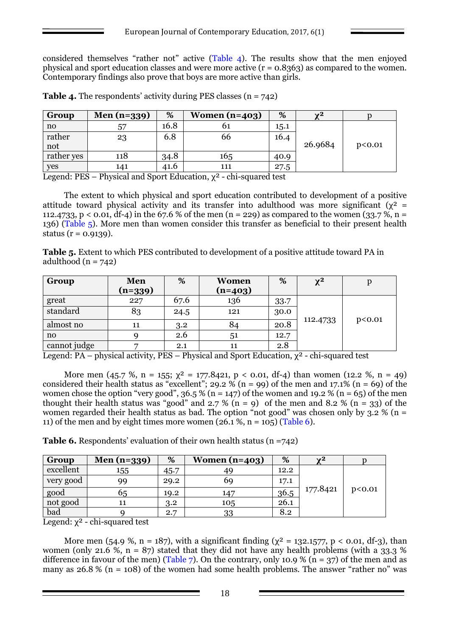considered themselves "rather not" active (Table 4). The results show that the men enjoyed physical and sport education classes and were more active  $(r = 0.8363)$  as compared to the women. Contemporary findings also prove that boys are more active than girls.

| Group      | Men $(n=339)$ | %    | Women $(n=403)$ | %    | $\mathbf{v}^2$ |        |
|------------|---------------|------|-----------------|------|----------------|--------|
| no         | 57            | 16.8 | 61              | 15.1 |                |        |
| rather     | 23            | 6.8  | 66              | 16.4 |                |        |
| not        |               |      |                 |      | 26.9684        | p<0.01 |
| rather yes | 118           | 34.8 | 165             | 40.9 |                |        |
| yes        | 141           | 41.6 | 111             | 27.5 |                |        |

**Table 4.** The respondents' activity during PES classes (n = 742)

Legend: PES – Physical and Sport Education,  $\chi^2$  - chi-squared test

The extent to which physical and sport education contributed to development of a positive attitude toward physical activity and its transfer into adulthood was more significant ( $\chi^2$  = 112.4733, p < 0.01, df-4) in the 67.6 % of the men (n = 229) as compared to the women (33.7 %, n = 136) (Table 5). More men than women consider this transfer as beneficial to their present health status ( $r = 0.9139$ ).

**Table 5.** Extent to which PES contributed to development of a positive attitude toward PA in adulthood  $(n = 742)$ 

| Group        | Men     | %    | Women     | %    | $\chi^2$ |        |
|--------------|---------|------|-----------|------|----------|--------|
|              | (n=339) |      | $(n=403)$ |      |          |        |
| great        | 227     | 67.6 | 136       | 33.7 |          |        |
| standard     | 83      | 24.5 | 121       | 30.0 | 112.4733 | p<0.01 |
| almost no    | 11      | 3.2  | 84        | 20.8 |          |        |
| no           |         | 2.6  | 51        | 12.7 |          |        |
| cannot judge |         | 2.1  | 11        | 2.8  |          |        |

Legend:  $PA$  – physical activity,  $PES$  – Physical and Sport Education,  $\chi^2$  - chi-squared test

More men (45.7 %, n = 155;  $\chi^2$  = 177.8421, p < 0.01, df-4) than women (12.2 %, n = 49) considered their health status as "excellent"; 29.2 % (n = 99) of the men and 17.1% (n = 69) of the women chose the option "very good",  $36.5\%$  (n = 147) of the women and 19.2 % (n = 65) of the men thought their health status was "good" and  $2.7\%$  (n = 9) of the men and  $8.2\%$  (n = 33) of the women regarded their health status as bad. The option "not good" was chosen only by  $3.2\%$  (n = 11) of the men and by eight times more women  $(26.1 \%, n = 105)$  (Table 6).

**Table 6.** Respondents' evaluation of their own health status (n =742)

| Group     | Men $(n=339)$ | %    | Women $(n=403)$ | %    | $\mathbf{v}^2$ |        |
|-----------|---------------|------|-----------------|------|----------------|--------|
| excellent | 155           | 45.7 | 49              | 12.2 |                |        |
| very good | 99            | 29.2 | 69              | 17.1 |                |        |
| good      | 65            | 19.2 | 147             | 36.5 | 177.8421       | p<0.01 |
| not good  |               | 3.2  | 105             | 26.1 |                |        |
| bad       |               | 2.7  | 33              | 8.2  |                |        |

Legend:  $\chi^2$  - chi-squared test

More men (54.9 %, n = 187), with a significant finding ( $\chi^2$  = 132.1577, p < 0.01, df-3), than women (only 21.6 %,  $n = 87$ ) stated that they did not have any health problems (with a 33.3 % difference in favour of the men) (Table 7). On the contrary, only 10.9 % ( $n = 37$ ) of the men and as many as  $26.8\%$  (n = 108) of the women had some health problems. The answer "rather no" was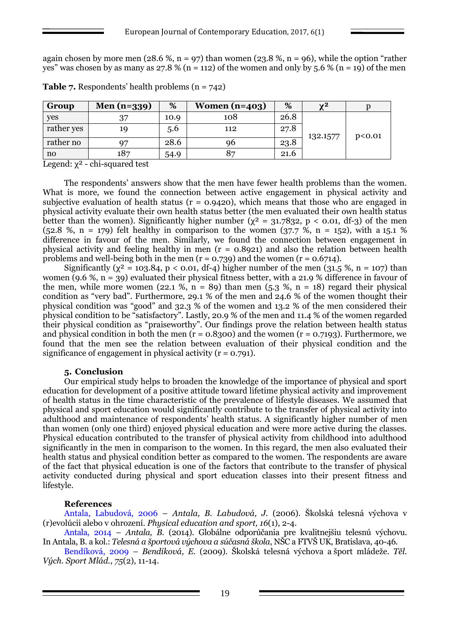again chosen by more men (28.6 %, n = 97) than women (23.8 %, n = 96), while the option "rather yes" was chosen by as many as  $27.8\%$  (n = 112) of the women and only by 5.6 % (n = 19) of the men

| Group      | Men $(n=339)$ | %    | Women $(n=403)$ | %    | $\mathbf{v}^2$ |        |
|------------|---------------|------|-----------------|------|----------------|--------|
| yes        | 27            | 10.9 | 108             | 26.8 | 132.1577       | p<0.01 |
| rather yes | 19            | 5.6  | 112             | 27.8 |                |        |
| rather no  | 97            | 28.6 | 96              | 23.8 |                |        |
| n0         | 187           | 54.9 | 87              | 21.6 |                |        |

**Table 7.** Respondents' health problems (n = 742)

Legend:  $\chi^2$  - chi-squared test

The respondents' answers show that the men have fewer health problems than the women. What is more, we found the connection between active engagement in physical activity and subjective evaluation of health status ( $r = 0.9420$ ), which means that those who are engaged in physical activity evaluate their own health status better (the men evaluated their own health status better than the women). Significantly higher number ( $\chi^2 = 31.7832$ , p < 0.01, df-3) of the men (52.8 %, n = 179) felt healthy in comparison to the women (37.7 %, n = 152), with a 15.1 % difference in favour of the men. Similarly, we found the connection between engagement in physical activity and feeling healthy in men (r = 0.8921) and also the relation between health problems and well-being both in the men  $(r = 0.739)$  and the women  $(r = 0.6714)$ .

Significantly ( $\chi^2$  = 103.84, p < 0.01, df-4) higher number of the men (31.5 %, n = 107) than women (9.6 %,  $n = 39$ ) evaluated their physical fitness better, with a 21.9 % difference in favour of the men, while more women (22.1 %,  $n = 89$ ) than men (5.3 %,  $n = 18$ ) regard their physical condition as "very bad". Furthermore, 29.1 % of the men and 24.6 % of the women thought their physical condition was "good" and 32.3 % of the women and 13.2 % of the men considered their physical condition to be "satisfactory". Lastly, 20.9 % of the men and 11.4 % of the women regarded their physical condition as "praiseworthy". Our findings prove the relation between health status and physical condition in both the men  $(r = 0.8300)$  and the women  $(r = 0.7193)$ . Furthermore, we found that the men see the relation between evaluation of their physical condition and the significance of engagement in physical activity  $(r = 0.791)$ .

### **5. Conclusion**

Our empirical study helps to broaden the knowledge of the importance of physical and sport education for development of a positive attitude toward lifetime physical activity and improvement of health status in the time characteristic of the prevalence of lifestyle diseases. We assumed that physical and sport education would significantly contribute to the transfer of physical activity into adulthood and maintenance of respondents' health status. A significantly higher number of men than women (only one third) enjoyed physical education and were more active during the classes. Physical education contributed to the transfer of physical activity from childhood into adulthood significantly in the men in comparison to the women. In this regard, the men also evaluated their health status and physical condition better as compared to the women. The respondents are aware of the fact that physical education is one of the factors that contribute to the transfer of physical activity conducted during physical and sport education classes into their present fitness and lifestyle.

### **References**

Antala, Labudová, 2006 – *Antala, B. Labudová, J.* (2006). Školská telesná výchova v (r)evolúcii alebo v ohrození. *Physical education and sport, 16*(1), 2-4.

Antala, 2014 – *Antala, B.* (2014). Globálne odporúčania pre kvalitnejšiu telesnú výchovu. In Antala, B. a kol.: *Telesná a športová výchova a súčasná škola*, NŠC a FTVŠ UK, Bratislava, 40-46.

Bendíková, 2009 – *Bendíková, E.* (2009). Školská telesná výchova a šport mládeže. *Těl. Vých. Sport Mlád.*, *75*(2), 11-14.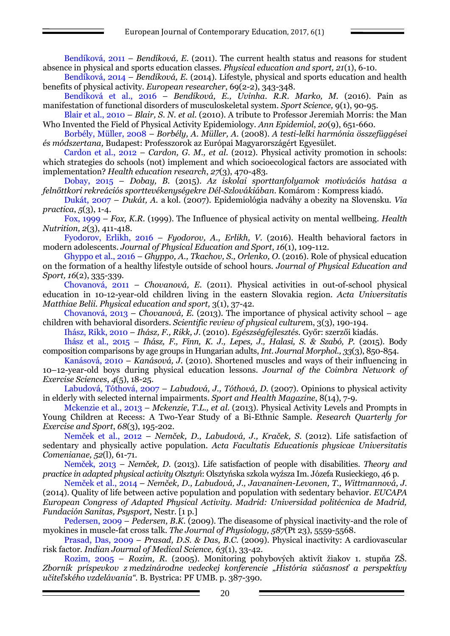Bendíková, 2011 – *Bendíková, E.* (2011). The current health status and reasons for student absence in physical and sports education classes. *Physical education and sport, 21*(1), 6-10.

Bendíková, 2014 – *Bendíková, E.* (2014). Lifestyle, physical and sports education and health benefits of physical activity. *European researcher*, 69(2-2), 343-348.

Bendíková et al., 2016 – *Bendíková, E., Uvinha. R.R. Marko, M.* (2016). Pain as manifestation of functional disorders of musculoskeletal system. *Sport Science,* 9(1), 90-95.

Blair et al., 2010 – *Blair, S. N. et al.* (2010). A tribute to Professor Jeremiah Morris: the Man Who Invented the Field of Physical Activity Epidemiology. *Ann Epidemiol*, *20*(9), 651-660.

Borbély, Müller, 2008 – *Borbély, A. Müller, A.* (2008). *A testi-lelki harmónia összefüggései és módszertana,* Budapest: Professzorok az Európai Magyarországért Egyesület.

Cardon et al., 2012 – *Cardon, G. M., et al.* (2012). Physical activity promotion in schools: which strategies do schools (not) implement and which socioecological factors are associated with implementation? *Health education research*, *27*(3), 470-483.

Dobay, 2015 – *Dobay, B.* (2015). *Az iskolai sporttanfolyamok motivációs hatása a felnőttkori rekreációs sporttevékenységekre Dél-Szlovákiában*. Komárom : Kompress kiadó.

Dukát, 2007 – *Dukát, A.* a kol. (2007). Epidemiológia nadváhy a obezity na Slovensku. *Via practica*, *5*(3), 1-4.

Fox, 1999 – *Fox, K.R.* (1999). The Influence of physical activity on mental wellbeing*. Health Nutrition, 2*(3), 411-418.

Fyodorov, Erlikh, 2016 – *Fyodorov, A., Erlikh, V.* (2016). Health behavioral factors in modern adolescents. *Journal of Physical Education and Sport*, *16*(1), 109-112.

Ghyppo et al., 2016 – *Ghyppo, A., Tkachov, S., Orlenko, O*. (2016). Role of physical education on the formation of a healthy lifestyle outside of school hours. *Journal of Physical Education and Sport, 16*(2), 335-339.

Chovanová, 2011 – *Chovanová, E.* (2011). Physical activities in out-of-school physical education in 10-12-year-old children living in the eastern Slovakia region. *Acta Universitatis Matthiae Belii. Physical education and sport,* 3(1), 37-42.

Chovanová, 2013 – *Chovanová, E.* (2013). The importance of physical activity school – age children with behavioral disorders. *Scientific review of physical culture*m, 3(3), 190-194.

Ihász, Rikk, 2010 – *Ihász, F., Rikk, J.* (2010). *Egészségfejlesztés.* Győr: szerzői kiadás.

Ihász et al., 2015 – *Ihász, F., Finn, K. J., Lepes, J., Halasi, S. & Szabó, P.* (2015). Body composition comparisons by age groups in Hungarian adults, *Int. Journal Morphol., 33*(3), 850-854.

Kanásová, 2010 – *Kanásová, J.* (2010). Shortened muscles and ways of their influencing in 10–12-year-old boys during physical education lessons. *Journal of the Coimbra Network of Exercise Sciences*, *4*(5), 18-25.

Labudová, Tóthová, 2007 – *Labudová, J., Tóthová, D.* (2007). Opinions to physical activity in elderly with selected internal impairments. *Sport and Health Magazine*, 8(14), 7-9.

Mckenzie et al., 2013 – *Mckenzie, T.L., et al.* (2013). Physical Activity Levels and Prompts in Young Children at Recess: A Two-Year Study of a Bi-Ethnic Sample. *Research Quarterly for Exercise and Sport*, *68*(3), 195-202.

Nemček et al., 2012 – *Nemček, D., Labudová, J., Kraček, S.* (2012). Life satisfaction of sedentary and physically active population. *Acta Facultatis Educationis physicae Universitatis Comenianae, 52*(l)*,* 61-71.

Nemček, 2013 – *Nemček, D.* (2013). Life satisfaction of people with disabilities. *Theory and practice in adapted physical activity Olsztyń*: Olsztyńska szkola wyźsza Im. Józefa Rusieckiego, 46 p.

Nemček et al., 2014 – *Nemček, D., Labudová, J., Javanainen-Levonen, T., Wittmannová, J.* (2014). Quality of life between active population and population with sedentary behavior. *EUCAPA European Congress of Adapted Physical Activity. Madrid: Universidad politécnica de Madrid, Fundación Sanitas, Psysport,* Nestr. [1 p.]

Pedersen, 2009 – *Pedersen, B.K.* (2009). The diseasome of physical inactivity-and the role of myokines in muscle-fat cross talk. *The Journal of Physiology, 587*(Pt 23), 5559-5568.

Prasad, Das, 2009 – *Prasad, D.S. & Das, B.C.* (2009). Physical inactivity: A cardiovascular risk factor. *Indian Journal of Medical Science, 63*(1), 33-42.

Rozim, 2005 – *Rozim, R.* (2005). Monitoring pohybových aktivít žiakov 1. stupňa ZŠ. *Zborník príspevkov z medzinárodne vedeckej konferencie "História súčasnosť a perspektívy učiteľského vzdelávania".* B. Bystrica: PF UMB. p. 387-390.